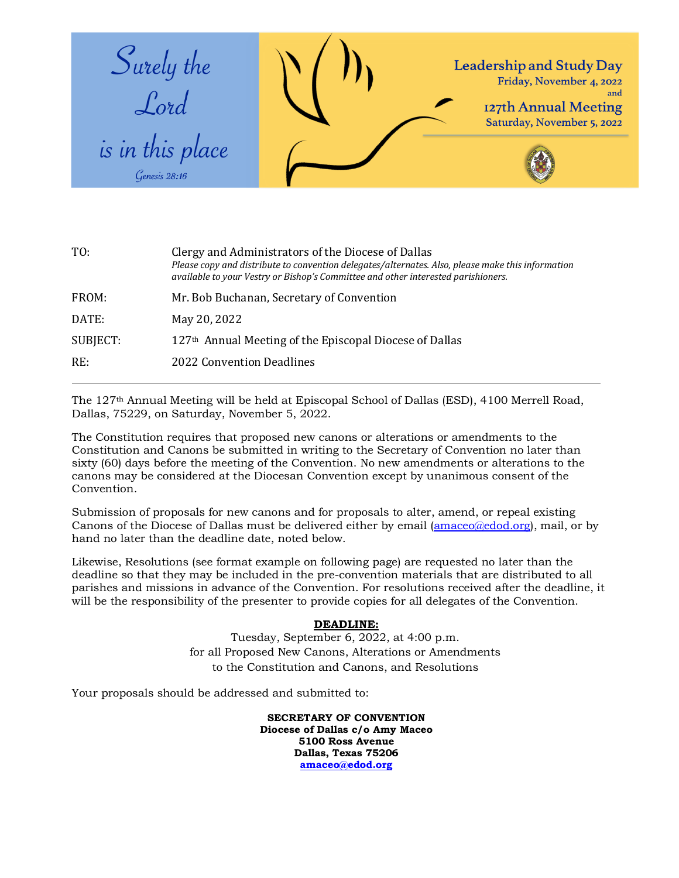

| TO:      | Clergy and Administrators of the Diocese of Dallas<br>Please copy and distribute to convention delegates/alternates. Also, please make this information<br>available to your Vestry or Bishop's Committee and other interested parishioners. |
|----------|----------------------------------------------------------------------------------------------------------------------------------------------------------------------------------------------------------------------------------------------|
| FROM:    | Mr. Bob Buchanan, Secretary of Convention                                                                                                                                                                                                    |
| DATE:    | May 20, 2022                                                                                                                                                                                                                                 |
| SUBJECT: | 127 <sup>th</sup> Annual Meeting of the Episcopal Diocese of Dallas                                                                                                                                                                          |
| RE:      | <b>2022 Convention Deadlines</b>                                                                                                                                                                                                             |
|          |                                                                                                                                                                                                                                              |

The 127th Annual Meeting will be held at Episcopal School of Dallas (ESD), 4100 Merrell Road, Dallas, 75229, on Saturday, November 5, 2022.

The Constitution requires that proposed new canons or alterations or amendments to the Constitution and Canons be submitted in writing to the Secretary of Convention no later than sixty (60) days before the meeting of the Convention. No new amendments or alterations to the canons may be considered at the Diocesan Convention except by unanimous consent of the Convention.

Submission of proposals for new canons and for proposals to alter, amend, or repeal existing Canons of the Diocese of Dallas must be delivered either by email (amaceo@edod.org), mail, or by hand no later than the deadline date, noted below.

Likewise, Resolutions (see format example on following page) are requested no later than the deadline so that they may be included in the pre-convention materials that are distributed to all parishes and missions in advance of the Convention. For resolutions received after the deadline, it will be the responsibility of the presenter to provide copies for all delegates of the Convention.

## **DEADLINE:**

Tuesday, September 6, 2022, at 4:00 p.m. for all Proposed New Canons, Alterations or Amendments to the Constitution and Canons, and Resolutions

Your proposals should be addressed and submitted to:

**SECRETARY OF CONVENTION Diocese of Dallas c/o Amy Maceo 5100 Ross Avenue Dallas, Texas 75206 amaceo@edod.org**